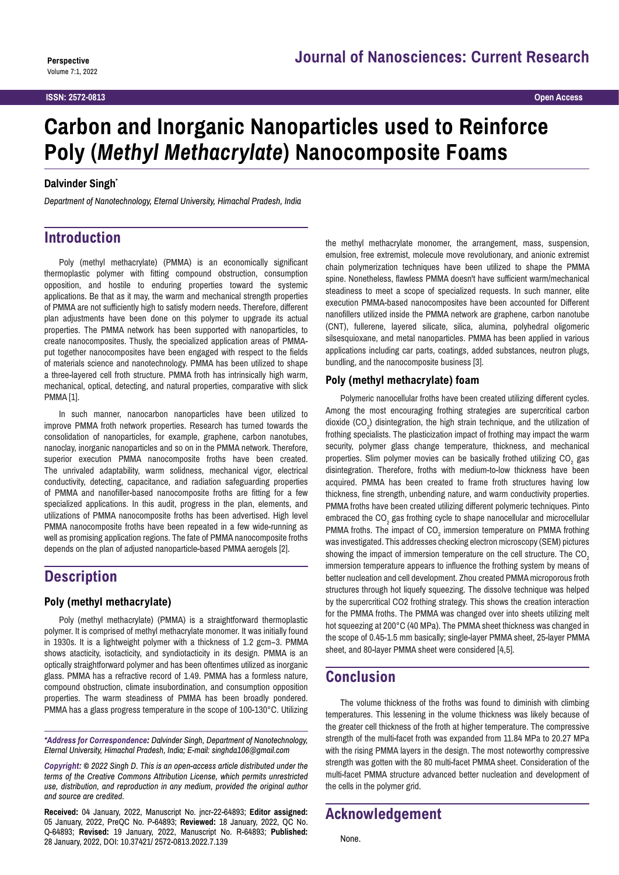# **Carbon and Inorganic Nanoparticles used to Reinforce Poly (***Methyl Methacrylate***) Nanocomposite Foams**

#### **Dalvinder Singht**

*Department of Nanotechnology, Eternal University, Himachal Pradesh, India*

# **Introduction**

Poly (methyl methacrylate) (PMMA) is an economically significant thermoplastic polymer with fitting compound obstruction, consumption opposition, and hostile to enduring properties toward the systemic applications. Be that as it may, the warm and mechanical strength properties of PMMA are not sufficiently high to satisfy modern needs. Therefore, different plan adjustments have been done on this polymer to upgrade its actual properties. The PMMA network has been supported with nanoparticles, to create nanocomposites. Thusly, the specialized application areas of PMMAput together nanocomposites have been engaged with respect to the fields of materials science and nanotechnology. PMMA has been utilized to shape a three-layered cell froth structure. PMMA froth has intrinsically high warm, mechanical, optical, detecting, and natural properties, comparative with slick PMMA [1].

In such manner, nanocarbon nanoparticles have been utilized to improve PMMA froth network properties. Research has turned towards the consolidation of nanoparticles, for example, graphene, carbon nanotubes, nanoclay, inorganic nanoparticles and so on in the PMMA network. Therefore, superior execution PMMA nanocomposite froths have been created. The unrivaled adaptability, warm solidness, mechanical vigor, electrical conductivity, detecting, capacitance, and radiation safeguarding properties of PMMA and nanofiller-based nanocomposite froths are fitting for a few specialized applications. In this audit, progress in the plan, elements, and utilizations of PMMA nanocomposite froths has been advertised. High level PMMA nanocomposite froths have been repeated in a few wide-running as well as promising application regions. The fate of PMMA nanocomposite froths depends on the plan of adjusted nanoparticle-based PMMA aerogels [2].

# **Description**

#### **Poly (methyl methacrylate)**

Poly (methyl methacrylate) (PMMA) is a straightforward thermoplastic polymer. It is comprised of methyl methacrylate monomer. It was initially found in 1930s. It is a lightweight polymer with a thickness of 1.2 gcm−3. PMMA shows atacticity, isotacticity, and syndiotacticity in its design. PMMA is an optically straightforward polymer and has been oftentimes utilized as inorganic glass. PMMA has a refractive record of 1.49. PMMA has a formless nature, compound obstruction, climate insubordination, and consumption opposition properties. The warm steadiness of PMMA has been broadly pondered. PMMA has a glass progress temperature in the scope of 100-130°C. Utilizing

*\*Address for Correspondence: Dalvinder Singh, Department of Nanotechnology, Eternal University, Himachal Pradesh, India; E-mail: singhda106@gmail.com*

*Copyright: © 2022 Singh D. This is an open-access article distributed under the terms of the Creative Commons Attribution License, which permits unrestricted use, distribution, and reproduction in any medium, provided the original author and source are credited.*

**Received:** 04 January, 2022, Manuscript No. jncr-22-64893; **Editor assigned:**  05 January, 2022, PreQC No. P-64893; **Reviewed:** 18 January, 2022, QC No. Q-64893; **Revised:** 19 January, 2022, Manuscript No. R-64893; **Published:**  28 January, 2022, DOI: 10.37421/ 2572-0813.2022.7.139

the methyl methacrylate monomer, the arrangement, mass, suspension, emulsion, free extremist, molecule move revolutionary, and anionic extremist chain polymerization techniques have been utilized to shape the PMMA spine. Nonetheless, flawless PMMA doesn't have sufficient warm/mechanical steadiness to meet a scope of specialized requests. In such manner, elite execution PMMA-based nanocomposites have been accounted for Different nanofillers utilized inside the PMMA network are graphene, carbon nanotube (CNT), fullerene, layered silicate, silica, alumina, polyhedral oligomeric silsesquioxane, and metal nanoparticles. PMMA has been applied in various applications including car parts, coatings, added substances, neutron plugs, bundling, and the nanocomposite business [3].

#### **Poly (methyl methacrylate) foam**

Polymeric nanocellular froths have been created utilizing different cycles. Among the most encouraging frothing strategies are supercritical carbon dioxide  $(CO_2)$  disintegration, the high strain technique, and the utilization of frothing specialists. The plasticization impact of frothing may impact the warm security, polymer glass change temperature, thickness, and mechanical properties. Slim polymer movies can be basically frothed utilizing  $\mathsf{CO}_2$  gas disintegration. Therefore, froths with medium-to-low thickness have been acquired. PMMA has been created to frame froth structures having low thickness, fine strength, unbending nature, and warm conductivity properties. PMMA froths have been created utilizing different polymeric techniques. Pinto embraced the CO<sub>2</sub> gas frothing cycle to shape nanocellular and microcellular PMMA froths. The impact of CO<sub>2</sub> immersion temperature on PMMA frothing was investigated. This addresses checking electron microscopy (SEM) pictures showing the impact of immersion temperature on the cell structure. The CO<sub>2</sub> immersion temperature appears to influence the frothing system by means of better nucleation and cell development. Zhou created PMMA microporous froth structures through hot liquefy squeezing. The dissolve technique was helped by the supercritical CO2 frothing strategy. This shows the creation interaction for the PMMA froths. The PMMA was changed over into sheets utilizing melt hot squeezing at 200°C (40 MPa). The PMMA sheet thickness was changed in the scope of 0.45-1.5 mm basically; single-layer PMMA sheet, 25-layer PMMA sheet, and 80-layer PMMA sheet were considered [4,5].

### **Conclusion**

The volume thickness of the froths was found to diminish with climbing temperatures. This lessening in the volume thickness was likely because of the greater cell thickness of the froth at higher temperature. The compressive strength of the multi-facet froth was expanded from 11.84 MPa to 20.27 MPa with the rising PMMA layers in the design. The most noteworthy compressive strength was gotten with the 80 multi-facet PMMA sheet. Consideration of the multi-facet PMMA structure advanced better nucleation and development of the cells in the polymer grid.

# **Acknowledgement**

None.